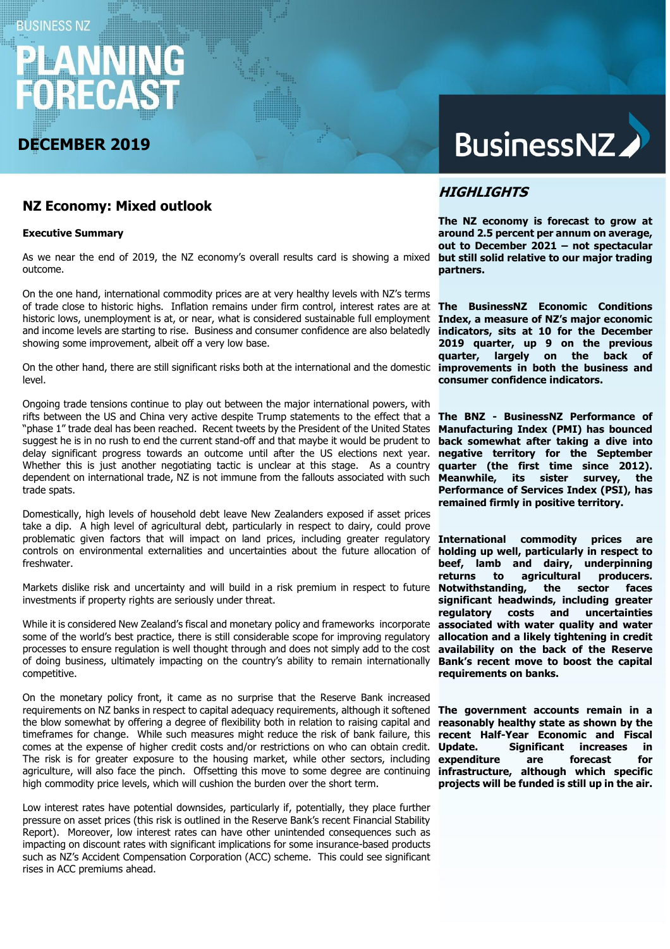# **BUSINESS NZ** RECA

## **DECEMBER 2019**

## **BusinessNZ**

## **NZ Economy: Mixed outlook**

#### **Executive Summary**

As we near the end of 2019, the NZ economy's overall results card is showing a mixed outcome.

On the one hand, international commodity prices are at very healthy levels with NZ's terms of trade close to historic highs. Inflation remains under firm control, interest rates are at **The BusinessNZ Economic Conditions**  historic lows, unemployment is at, or near, what is considered sustainable full employment **Index, a measure of NZ's major economic**  and income levels are starting to rise. Business and consumer confidence are also belatedly showing some improvement, albeit off a very low base.

On the other hand, there are still significant risks both at the international and the domestic level.

Ongoing trade tensions continue to play out between the major international powers, with rifts between the US and China very active despite Trump statements to the effect that a "phase 1" trade deal has been reached. Recent tweets by the President of the United States suggest he is in no rush to end the current stand-off and that maybe it would be prudent to delay significant progress towards an outcome until after the US elections next year. Whether this is just another negotiating tactic is unclear at this stage. As a country dependent on international trade, NZ is not immune from the fallouts associated with such trade spats.

Domestically, high levels of household debt leave New Zealanders exposed if asset prices take a dip. A high level of agricultural debt, particularly in respect to dairy, could prove problematic given factors that will impact on land prices, including greater regulatory controls on environmental externalities and uncertainties about the future allocation of freshwater.

Markets dislike risk and uncertainty and will build in a risk premium in respect to future investments if property rights are seriously under threat.

While it is considered New Zealand's fiscal and monetary policy and frameworks incorporate some of the world's best practice, there is still considerable scope for improving regulatory processes to ensure regulation is well thought through and does not simply add to the cost of doing business, ultimately impacting on the country's ability to remain internationally competitive.

On the monetary policy front, it came as no surprise that the Reserve Bank increased requirements on NZ banks in respect to capital adequacy requirements, although it softened the blow somewhat by offering a degree of flexibility both in relation to raising capital and timeframes for change. While such measures might reduce the risk of bank failure, this comes at the expense of higher credit costs and/or restrictions on who can obtain credit. The risk is for greater exposure to the housing market, while other sectors, including agriculture, will also face the pinch. Offsetting this move to some degree are continuing high commodity price levels, which will cushion the burden over the short term.

Low interest rates have potential downsides, particularly if, potentially, they place further pressure on asset prices (this risk is outlined in the Reserve Bank's recent Financial Stability Report). Moreover, low interest rates can have other unintended consequences such as impacting on discount rates with significant implications for some insurance-based products such as NZ's Accident Compensation Corporation (ACC) scheme. This could see significant rises in ACC premiums ahead.

## **HIGHLIGHTS**

**The NZ economy is forecast to grow at around 2.5 percent per annum on average, out to December 2021 – not spectacular but still solid relative to our major trading partners.**

**indicators, sits at 10 for the December 2019 quarter, up 9 on the previous quarter, largely on the back of improvements in both the business and consumer confidence indicators.** 

**The BNZ - BusinessNZ Performance of Manufacturing Index (PMI) has bounced back somewhat after taking a dive into negative territory for the September quarter (the first time since 2012). Meanwhile, its sister survey, the Performance of Services Index (PSI), has remained firmly in positive territory.**

**International commodity prices are holding up well, particularly in respect to beef, lamb and dairy, underpinning returns** to agricultural **Notwithstanding, the sector faces significant headwinds, including greater regulatory costs and uncertainties associated with water quality and water allocation and a likely tightening in credit availability on the back of the Reserve Bank's recent move to boost the capital requirements on banks.**

**The government accounts remain in a reasonably healthy state as shown by the recent Half-Year Economic and Fiscal Update. Significant increases in expenditure are forecast for infrastructure, although which specific projects will be funded is still up in the air.**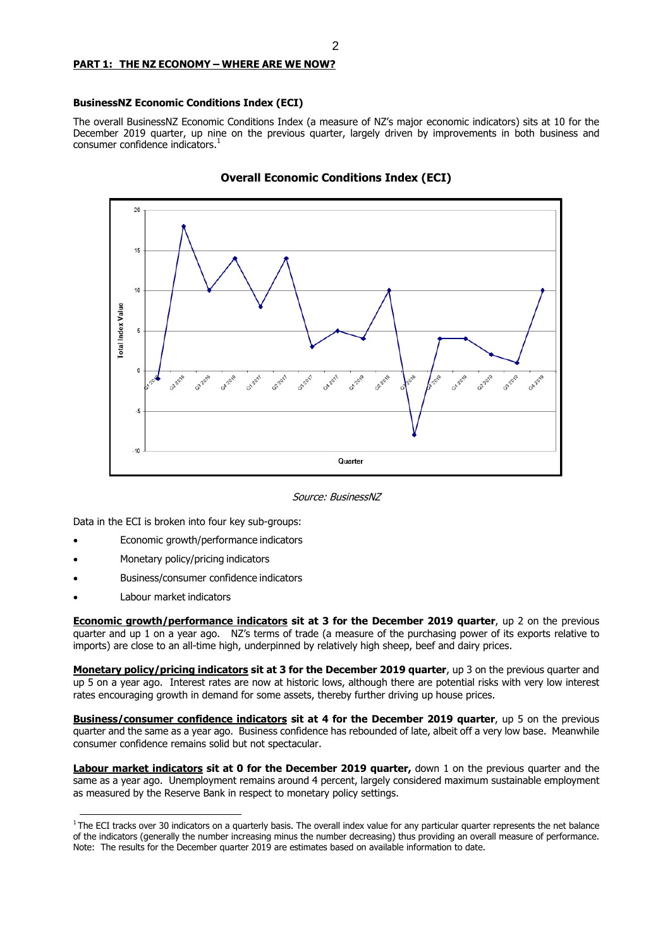#### **PART 1: THE NZ ECONOMY – WHERE ARE WE NOW?**

#### **BusinessNZ Economic Conditions Index (ECI)**

The overall BusinessNZ Economic Conditions Index (a measure of NZ's major economic indicators) sits at 10 for the December 2019 quarter, up nine on the previous quarter, largely driven by improvements in both business and consumer confidence indicators. 1



**Overall Economic Conditions Index (ECI)**

Source: BusinessNZ

Data in the ECI is broken into four key sub-groups:

- Economic growth/performance indicators
- Monetary policy/pricing indicators
- Business/consumer confidence indicators
- Labour market indicators

**Economic growth/performance indicators sit at 3 for the December 2019 quarter**, up 2 on the previous quarter and up 1 on a year ago. NZ's terms of trade (a measure of the purchasing power of its exports relative to imports) are close to an all-time high, underpinned by relatively high sheep, beef and dairy prices.

**Monetary policy/pricing indicators sit at 3 for the December 2019 quarter**, up 3 on the previous quarter and up 5 on a year ago. Interest rates are now at historic lows, although there are potential risks with very low interest rates encouraging growth in demand for some assets, thereby further driving up house prices.

**Business/consumer confidence indicators sit at 4 for the December 2019 quarter**, up 5 on the previous quarter and the same as a year ago. Business confidence has rebounded of late, albeit off a very low base. Meanwhile consumer confidence remains solid but not spectacular.

**Labour market indicators sit at 0 for the December 2019 quarter,** down 1 on the previous quarter and the same as a year ago. Unemployment remains around 4 percent, largely considered maximum sustainable employment as measured by the Reserve Bank in respect to monetary policy settings.

 $1$ The ECI tracks over 30 indicators on a quarterly basis. The overall index value for any particular quarter represents the net balance of the indicators (generally the number increasing minus the number decreasing) thus providing an overall measure of performance. Note: The results for the December quarter 2019 are estimates based on available information to date.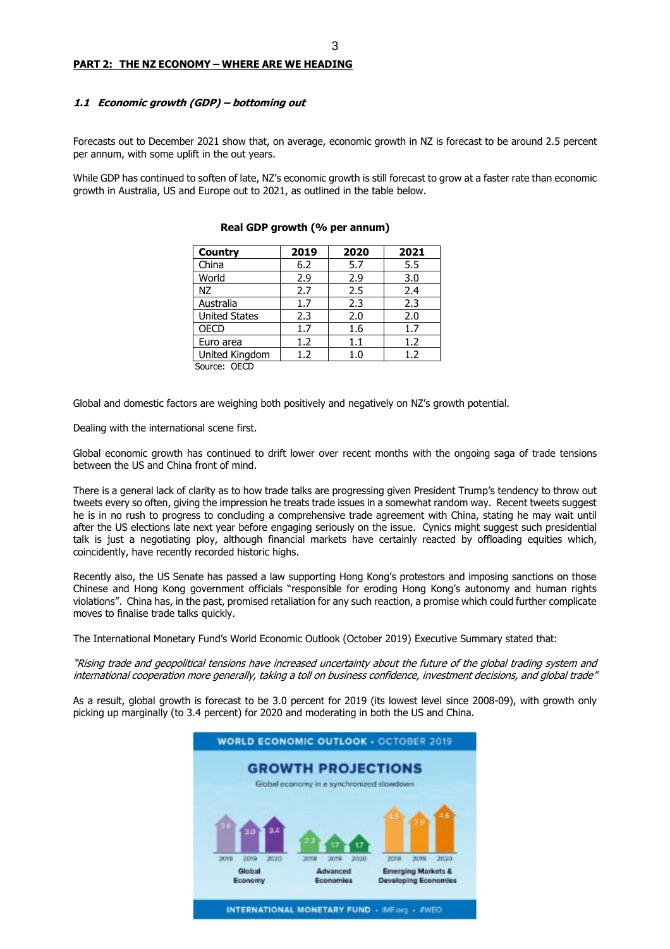#### **1.1 Economic growth (GDP) – bottoming out**

Forecasts out to December 2021 show that, on average, economic growth in NZ is forecast to be around 2.5 percent per annum, with some uplift in the out years.

While GDP has continued to soften of late, NZ's economic growth is still forecast to grow at a faster rate than economic growth in Australia, US and Europe out to 2021, as outlined in the table below.

| <b>Country</b>       | 2019 | 2020 | 2021 |
|----------------------|------|------|------|
| China                | 6.2  | 5.7  | 5.5  |
| World                | 2.9  | 2.9  | 3.0  |
| NZ                   | 2.7  | 2.5  | 2.4  |
| Australia            | 1.7  | 2.3  | 2.3  |
| <b>United States</b> | 2.3  | 2.0  | 2.0  |
| <b>OECD</b>          | 1.7  | 1.6  | 1.7  |
| Euro area            | 1.2  | 1.1  | 1.2  |
| United Kingdom       | 1.2  | 1.0  | 1.2  |
| Source: OECD         |      |      |      |

#### **Real GDP growth (% per annum)**

Global and domestic factors are weighing both positively and negatively on NZ's growth potential.

Dealing with the international scene first.

Global economic growth has continued to drift lower over recent months with the ongoing saga of trade tensions between the US and China front of mind.

There is a general lack of clarity as to how trade talks are progressing given President Trump's tendency to throw out tweets every so often, giving the impression he treats trade issues in a somewhat random way. Recent tweets suggest he is in no rush to progress to concluding a comprehensive trade agreement with China, stating he may wait until after the US elections late next year before engaging seriously on the issue. Cynics might suggest such presidential talk is just a negotiating ploy, although financial markets have certainly reacted by offloading equities which, coincidently, have recently recorded historic highs.

Recently also, the US Senate has passed a law supporting Hong Kong's protestors and imposing sanctions on those Chinese and Hong Kong government officials "responsible for eroding Hong Kong's autonomy and human rights violations". China has, in the past, promised retaliation for any such reaction, a promise which could further complicate moves to finalise trade talks quickly.

The International Monetary Fund's World Economic Outlook (October 2019) Executive Summary stated that:

"Rising trade and geopolitical tensions have increased uncertainty about the future of the global trading system and international cooperation more generally, taking a toll on business confidence, investment decisions, and global trade"

As a result, global growth is forecast to be 3.0 percent for 2019 (its lowest level since 2008-09), with growth only picking up marginally (to 3.4 percent) for 2020 and moderating in both the US and China.

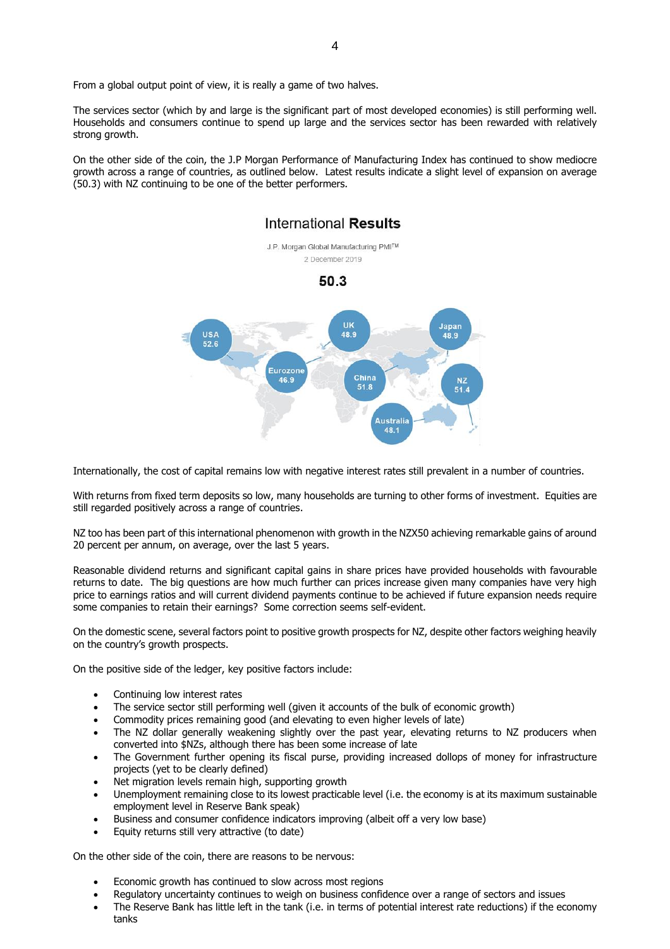From a global output point of view, it is really a game of two halves.

The services sector (which by and large is the significant part of most developed economies) is still performing well. Households and consumers continue to spend up large and the services sector has been rewarded with relatively strong growth.

On the other side of the coin, the J.P Morgan Performance of Manufacturing Index has continued to show mediocre growth across a range of countries, as outlined below. Latest results indicate a slight level of expansion on average (50.3) with NZ continuing to be one of the better performers.



Internationally, the cost of capital remains low with negative interest rates still prevalent in a number of countries.

With returns from fixed term deposits so low, many households are turning to other forms of investment. Equities are still regarded positively across a range of countries.

NZ too has been part of this international phenomenon with growth in the NZX50 achieving remarkable gains of around 20 percent per annum, on average, over the last 5 years.

Reasonable dividend returns and significant capital gains in share prices have provided households with favourable returns to date. The big questions are how much further can prices increase given many companies have very high price to earnings ratios and will current dividend payments continue to be achieved if future expansion needs require some companies to retain their earnings? Some correction seems self-evident.

On the domestic scene, several factors point to positive growth prospects for NZ, despite other factors weighing heavily on the country's growth prospects.

On the positive side of the ledger, key positive factors include:

- Continuing low interest rates
- The service sector still performing well (given it accounts of the bulk of economic growth)
- Commodity prices remaining good (and elevating to even higher levels of late)
- The NZ dollar generally weakening slightly over the past year, elevating returns to NZ producers when converted into \$NZs, although there has been some increase of late
- The Government further opening its fiscal purse, providing increased dollops of money for infrastructure projects (yet to be clearly defined)
- Net migration levels remain high, supporting growth
- Unemployment remaining close to its lowest practicable level (i.e. the economy is at its maximum sustainable employment level in Reserve Bank speak)
- Business and consumer confidence indicators improving (albeit off a very low base)
- Equity returns still very attractive (to date)

On the other side of the coin, there are reasons to be nervous:

- Economic growth has continued to slow across most regions
- Regulatory uncertainty continues to weigh on business confidence over a range of sectors and issues
- The Reserve Bank has little left in the tank (i.e. in terms of potential interest rate reductions) if the economy tanks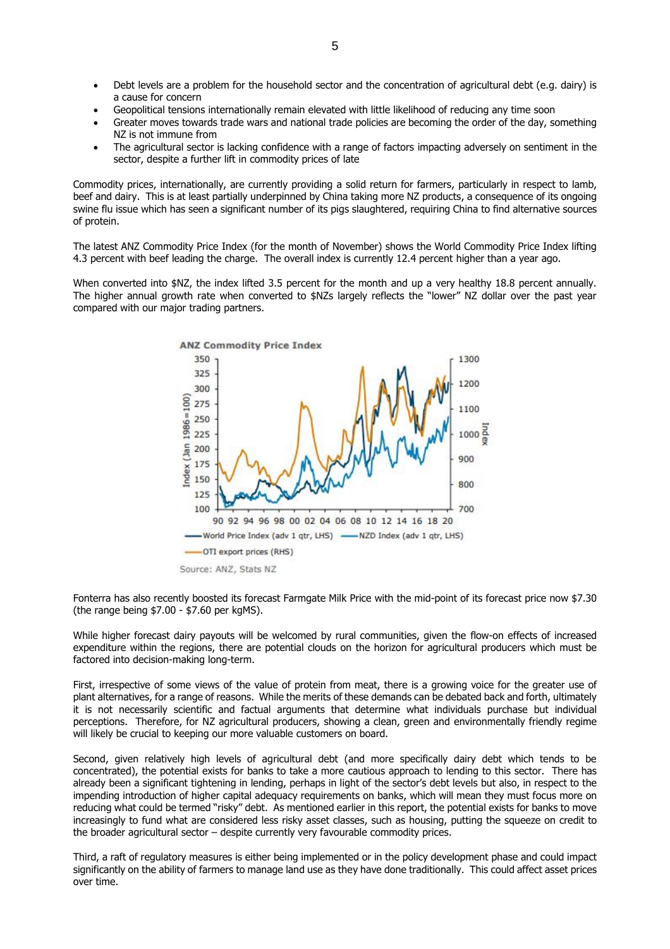- Debt levels are a problem for the household sector and the concentration of agricultural debt (e.g. dairy) is a cause for concern
- Geopolitical tensions internationally remain elevated with little likelihood of reducing any time soon
- Greater moves towards trade wars and national trade policies are becoming the order of the day, something NZ is not immune from
- The agricultural sector is lacking confidence with a range of factors impacting adversely on sentiment in the sector, despite a further lift in commodity prices of late

Commodity prices, internationally, are currently providing a solid return for farmers, particularly in respect to lamb, beef and dairy. This is at least partially underpinned by China taking more NZ products, a consequence of its ongoing swine flu issue which has seen a significant number of its pigs slaughtered, requiring China to find alternative sources of protein.

The latest ANZ Commodity Price Index (for the month of November) shows the World Commodity Price Index lifting 4.3 percent with beef leading the charge. The overall index is currently 12.4 percent higher than a year ago.

When converted into \$NZ, the index lifted 3.5 percent for the month and up a very healthy 18.8 percent annually. The higher annual growth rate when converted to \$NZs largely reflects the "lower" NZ dollar over the past year compared with our major trading partners.



Fonterra has also recently boosted its forecast Farmgate Milk Price with the mid-point of its forecast price now \$7.30 (the range being \$7.00 - \$7.60 per kgMS).

While higher forecast dairy payouts will be welcomed by rural communities, given the flow-on effects of increased expenditure within the regions, there are potential clouds on the horizon for agricultural producers which must be factored into decision-making long-term.

First, irrespective of some views of the value of protein from meat, there is a growing voice for the greater use of plant alternatives, for a range of reasons. While the merits of these demands can be debated back and forth, ultimately it is not necessarily scientific and factual arguments that determine what individuals purchase but individual perceptions. Therefore, for NZ agricultural producers, showing a clean, green and environmentally friendly regime will likely be crucial to keeping our more valuable customers on board.

Second, given relatively high levels of agricultural debt (and more specifically dairy debt which tends to be concentrated), the potential exists for banks to take a more cautious approach to lending to this sector. There has already been a significant tightening in lending, perhaps in light of the sector's debt levels but also, in respect to the impending introduction of higher capital adequacy requirements on banks, which will mean they must focus more on reducing what could be termed "risky" debt. As mentioned earlier in this report, the potential exists for banks to move increasingly to fund what are considered less risky asset classes, such as housing, putting the squeeze on credit to the broader agricultural sector – despite currently very favourable commodity prices.

Third, a raft of regulatory measures is either being implemented or in the policy development phase and could impact significantly on the ability of farmers to manage land use as they have done traditionally. This could affect asset prices over time.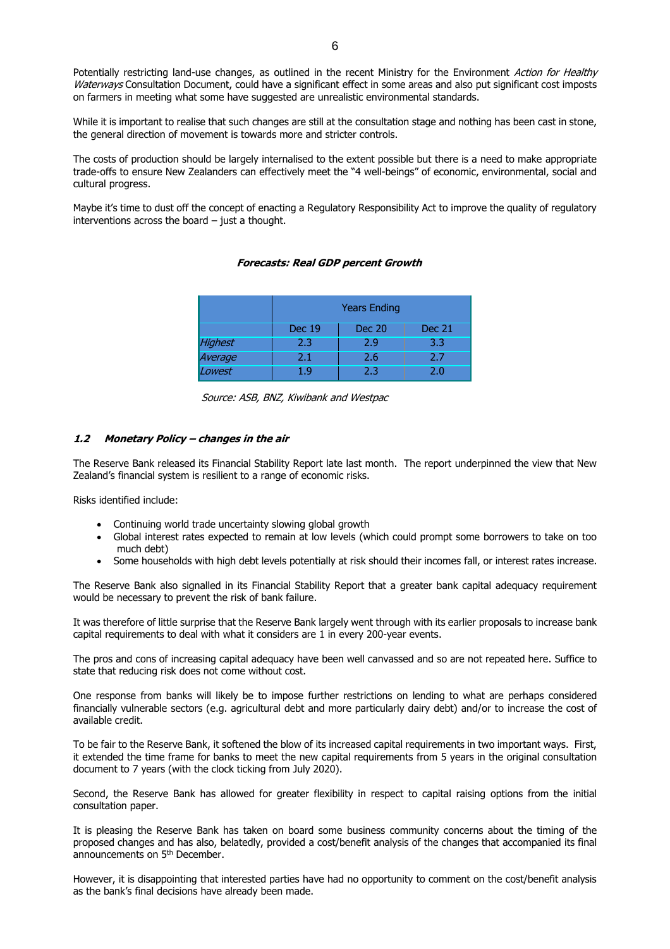Potentially restricting land-use changes, as outlined in the recent Ministry for the Environment Action for Healthy Waterways Consultation Document, could have a significant effect in some areas and also put significant cost imposts on farmers in meeting what some have suggested are unrealistic environmental standards.

While it is important to realise that such changes are still at the consultation stage and nothing has been cast in stone, the general direction of movement is towards more and stricter controls.

The costs of production should be largely internalised to the extent possible but there is a need to make appropriate trade-offs to ensure New Zealanders can effectively meet the "4 well-beings" of economic, environmental, social and cultural progress.

Maybe it's time to dust off the concept of enacting a Regulatory Responsibility Act to improve the quality of regulatory interventions across the board – just a thought.

**Forecasts: Real GDP percent Growth**

## Years Ending Dec 19 | Dec 20 | Dec 21 Highest | 2.3 | 2.9 | 3.3 Average 2.1 2.6 2.7 Lowest 1.9 2.3 2.0

Source: ASB, BNZ, Kiwibank and Westpac

#### **1.2 Monetary Policy – changes in the air**

The Reserve Bank released its Financial Stability Report late last month. The report underpinned the view that New Zealand's financial system is resilient to a range of economic risks.

Risks identified include:

- Continuing world trade uncertainty slowing global growth
- Global interest rates expected to remain at low levels (which could prompt some borrowers to take on too much debt)
- Some households with high debt levels potentially at risk should their incomes fall, or interest rates increase.

The Reserve Bank also signalled in its Financial Stability Report that a greater bank capital adequacy requirement would be necessary to prevent the risk of bank failure.

It was therefore of little surprise that the Reserve Bank largely went through with its earlier proposals to increase bank capital requirements to deal with what it considers are 1 in every 200-year events.

The pros and cons of increasing capital adequacy have been well canvassed and so are not repeated here. Suffice to state that reducing risk does not come without cost.

One response from banks will likely be to impose further restrictions on lending to what are perhaps considered financially vulnerable sectors (e.g. agricultural debt and more particularly dairy debt) and/or to increase the cost of available credit.

To be fair to the Reserve Bank, it softened the blow of its increased capital requirements in two important ways. First, it extended the time frame for banks to meet the new capital requirements from 5 years in the original consultation document to 7 years (with the clock ticking from July 2020).

Second, the Reserve Bank has allowed for greater flexibility in respect to capital raising options from the initial consultation paper.

It is pleasing the Reserve Bank has taken on board some business community concerns about the timing of the proposed changes and has also, belatedly, provided a cost/benefit analysis of the changes that accompanied its final announcements on 5<sup>th</sup> December.

However, it is disappointing that interested parties have had no opportunity to comment on the cost/benefit analysis as the bank's final decisions have already been made.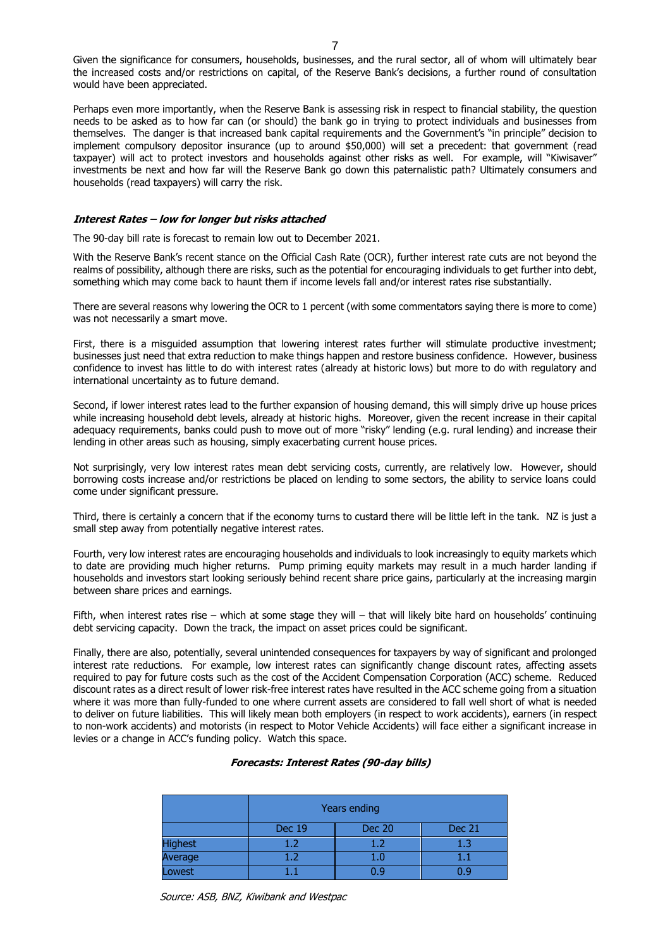Given the significance for consumers, households, businesses, and the rural sector, all of whom will ultimately bear the increased costs and/or restrictions on capital, of the Reserve Bank's decisions, a further round of consultation would have been appreciated.

Perhaps even more importantly, when the Reserve Bank is assessing risk in respect to financial stability, the question needs to be asked as to how far can (or should) the bank go in trying to protect individuals and businesses from themselves. The danger is that increased bank capital requirements and the Government's "in principle" decision to implement compulsory depositor insurance (up to around \$50,000) will set a precedent: that government (read taxpayer) will act to protect investors and households against other risks as well. For example, will "Kiwisaver" investments be next and how far will the Reserve Bank go down this paternalistic path? Ultimately consumers and households (read taxpayers) will carry the risk.

#### **Interest Rates – low for longer but risks attached**

The 90-day bill rate is forecast to remain low out to December 2021.

With the Reserve Bank's recent stance on the Official Cash Rate (OCR), further interest rate cuts are not beyond the realms of possibility, although there are risks, such as the potential for encouraging individuals to get further into debt, something which may come back to haunt them if income levels fall and/or interest rates rise substantially.

There are several reasons why lowering the OCR to 1 percent (with some commentators saying there is more to come) was not necessarily a smart move.

First, there is a misguided assumption that lowering interest rates further will stimulate productive investment; businesses just need that extra reduction to make things happen and restore business confidence. However, business confidence to invest has little to do with interest rates (already at historic lows) but more to do with regulatory and international uncertainty as to future demand.

Second, if lower interest rates lead to the further expansion of housing demand, this will simply drive up house prices while increasing household debt levels, already at historic highs. Moreover, given the recent increase in their capital adequacy requirements, banks could push to move out of more "risky" lending (e.g. rural lending) and increase their lending in other areas such as housing, simply exacerbating current house prices.

Not surprisingly, very low interest rates mean debt servicing costs, currently, are relatively low. However, should borrowing costs increase and/or restrictions be placed on lending to some sectors, the ability to service loans could come under significant pressure.

Third, there is certainly a concern that if the economy turns to custard there will be little left in the tank. NZ is just a small step away from potentially negative interest rates.

Fourth, very low interest rates are encouraging households and individuals to look increasingly to equity markets which to date are providing much higher returns. Pump priming equity markets may result in a much harder landing if households and investors start looking seriously behind recent share price gains, particularly at the increasing margin between share prices and earnings.

Fifth, when interest rates rise – which at some stage they will – that will likely bite hard on households' continuing debt servicing capacity. Down the track, the impact on asset prices could be significant.

Finally, there are also, potentially, several unintended consequences for taxpayers by way of significant and prolonged interest rate reductions. For example, low interest rates can significantly change discount rates, affecting assets required to pay for future costs such as the cost of the Accident Compensation Corporation (ACC) scheme. Reduced discount rates as a direct result of lower risk-free interest rates have resulted in the ACC scheme going from a situation where it was more than fully-funded to one where current assets are considered to fall well short of what is needed to deliver on future liabilities. This will likely mean both employers (in respect to work accidents), earners (in respect to non-work accidents) and motorists (in respect to Motor Vehicle Accidents) will face either a significant increase in levies or a change in ACC's funding policy. Watch this space.

#### **Forecasts: Interest Rates (90-day bills)**

|                | Years ending                             |         |     |  |  |
|----------------|------------------------------------------|---------|-----|--|--|
|                | <b>Dec 19</b><br><b>Dec 20</b><br>Dec 21 |         |     |  |  |
| <b>Highest</b> | 1.2                                      | 1.2     | 1.3 |  |  |
| Average        | 17                                       | $1.0\,$ |     |  |  |
| Lowest         |                                          |         |     |  |  |

Source: ASB, BNZ, Kiwibank and Westpac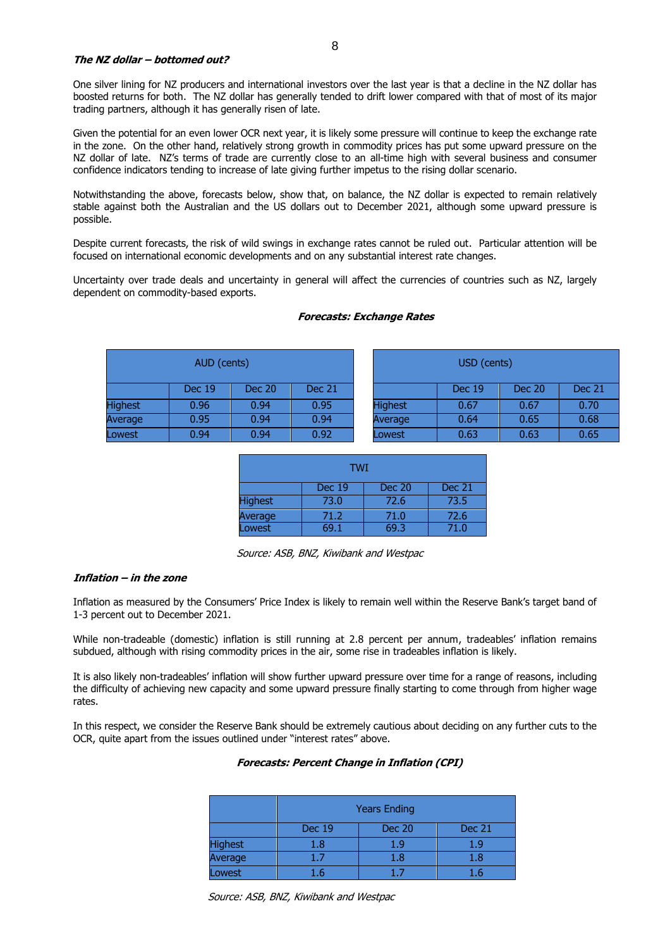#### **The NZ dollar – bottomed out?**

One silver lining for NZ producers and international investors over the last year is that a decline in the NZ dollar has boosted returns for both. The NZ dollar has generally tended to drift lower compared with that of most of its major trading partners, although it has generally risen of late.

Given the potential for an even lower OCR next year, it is likely some pressure will continue to keep the exchange rate in the zone. On the other hand, relatively strong growth in commodity prices has put some upward pressure on the NZ dollar of late. NZ's terms of trade are currently close to an all-time high with several business and consumer confidence indicators tending to increase of late giving further impetus to the rising dollar scenario.

Notwithstanding the above, forecasts below, show that, on balance, the NZ dollar is expected to remain relatively stable against both the Australian and the US dollars out to December 2021, although some upward pressure is possible.

Despite current forecasts, the risk of wild swings in exchange rates cannot be ruled out. Particular attention will be focused on international economic developments and on any substantial interest rate changes.

Uncertainty over trade deals and uncertainty in general will affect the currencies of countries such as NZ, largely dependent on commodity-based exports.

| AUD (cents)    |               |        | USD (cents)   |                |               |               |          |
|----------------|---------------|--------|---------------|----------------|---------------|---------------|----------|
|                | <b>Dec 19</b> | Dec 20 | <b>Dec 21</b> |                | <b>Dec 19</b> | <b>Dec 20</b> | Dec $21$ |
| <b>Highest</b> | 0.96          | 0.94   | 0.95          | <b>Highest</b> | 0.67          | 0.67          | 0.70     |
| Average        | 0.95          | 0.94   | 0.94          | Average        | 0.64          | 0.65          | 0.68     |
| Lowest         | 0.94          | 0.94   | 0.92          | Lowest         | 0.63          | 0.63          | 0.65     |

#### **Forecasts: Exchange Rates**

| TWI                                             |      |      |      |  |  |
|-------------------------------------------------|------|------|------|--|--|
| <b>Dec 19</b><br><b>Dec 21</b><br><b>Dec 20</b> |      |      |      |  |  |
| <b>Highest</b>                                  | 73.0 | 72.6 | 73.5 |  |  |
| Average                                         | 71.2 | 71.0 | 72.6 |  |  |
| Lowest                                          | 69 1 | 69.3 | 71.0 |  |  |

Source: ASB, BNZ, Kiwibank and Westpac

#### **Inflation – in the zone**

Inflation as measured by the Consumers' Price Index is likely to remain well within the Reserve Bank's target band of 1-3 percent out to December 2021.

While non-tradeable (domestic) inflation is still running at 2.8 percent per annum, tradeables' inflation remains subdued, although with rising commodity prices in the air, some rise in tradeables inflation is likely.

It is also likely non-tradeables' inflation will show further upward pressure over time for a range of reasons, including the difficulty of achieving new capacity and some upward pressure finally starting to come through from higher wage rates.

In this respect, we consider the Reserve Bank should be extremely cautious about deciding on any further cuts to the OCR, quite apart from the issues outlined under "interest rates" above.

#### **Forecasts: Percent Change in Inflation (CPI)**

|                | <b>Years Ending</b>                      |     |      |  |  |  |
|----------------|------------------------------------------|-----|------|--|--|--|
|                | <b>Dec 19</b><br><b>Dec 20</b><br>Dec 21 |     |      |  |  |  |
| <b>Highest</b> | 1.8                                      | 1.9 | 1.9  |  |  |  |
| Average        | 1.7                                      | 1.8 | 1.8  |  |  |  |
| Lowest         |                                          | 15  | Т. А |  |  |  |

Source: ASB, BNZ, Kiwibank and Westpac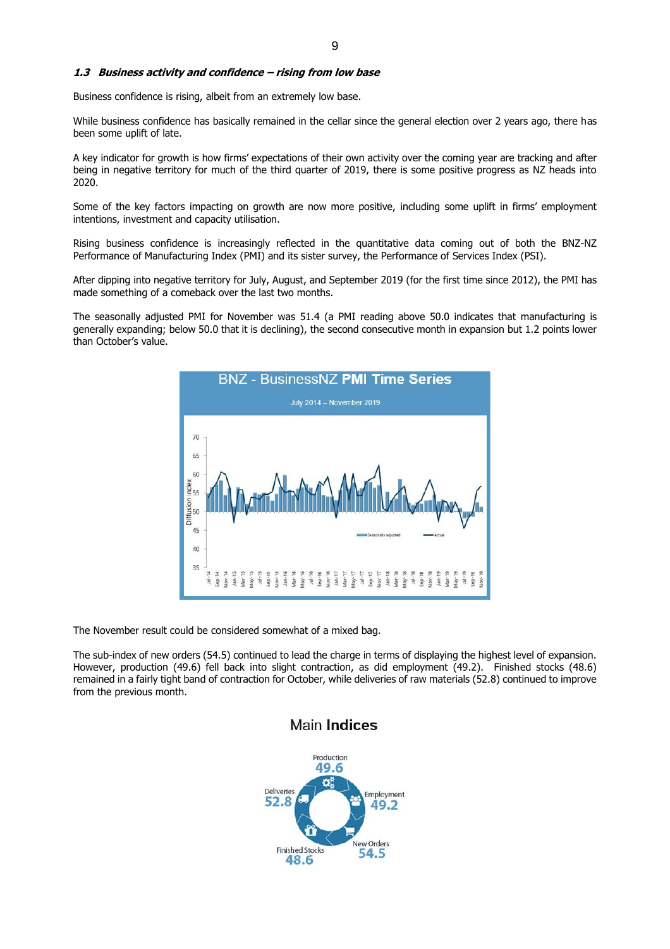#### **1.3 Business activity and confidence – rising from low base**

Business confidence is rising, albeit from an extremely low base.

While business confidence has basically remained in the cellar since the general election over 2 years ago, there has been some uplift of late.

A key indicator for growth is how firms' expectations of their own activity over the coming year are tracking and after being in negative territory for much of the third quarter of 2019, there is some positive progress as NZ heads into 2020.

Some of the key factors impacting on growth are now more positive, including some uplift in firms' employment intentions, investment and capacity utilisation.

Rising business confidence is increasingly reflected in the quantitative data coming out of both the BNZ-NZ Performance of Manufacturing Index (PMI) and its sister survey, the Performance of Services Index (PSI).

After dipping into negative territory for July, August, and September 2019 (for the first time since 2012), the PMI has made something of a comeback over the last two months.

The seasonally adjusted PMI for November was 51.4 (a PMI reading above 50.0 indicates that manufacturing is generally expanding; below 50.0 that it is declining), the second consecutive month in expansion but 1.2 points lower than October's value.



The November result could be considered somewhat of a mixed bag.

The sub-index of new orders (54.5) continued to lead the charge in terms of displaying the highest level of expansion. However, production (49.6) fell back into slight contraction, as did employment (49.2). Finished stocks (48.6) remained in a fairly tight band of contraction for October, while deliveries of raw materials (52.8) continued to improve from the previous month.



## **Main Indices**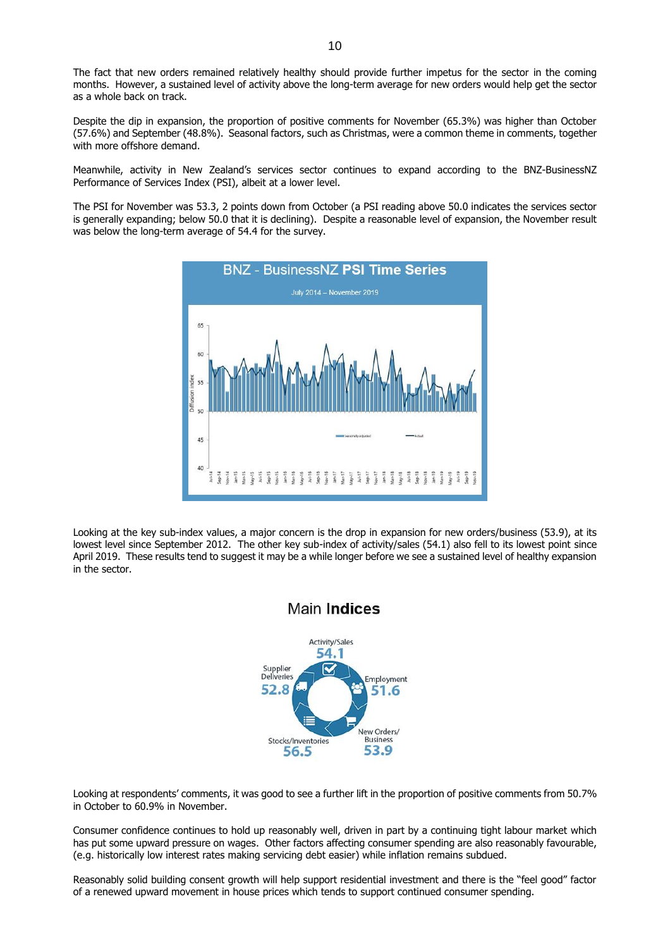The fact that new orders remained relatively healthy should provide further impetus for the sector in the coming months. However, a sustained level of activity above the long-term average for new orders would help get the sector as a whole back on track.

Despite the dip in expansion, the proportion of positive comments for November (65.3%) was higher than October (57.6%) and September (48.8%). Seasonal factors, such as Christmas, were a common theme in comments, together with more offshore demand.

Meanwhile, activity in New Zealand's services sector continues to expand according to the BNZ-BusinessNZ Performance of Services Index (PSI), albeit at a lower level.

The PSI for November was 53.3, 2 points down from October (a PSI reading above 50.0 indicates the services sector is generally expanding; below 50.0 that it is declining). Despite a reasonable level of expansion, the November result was below the long-term average of 54.4 for the survey.



Looking at the key sub-index values, a major concern is the drop in expansion for new orders/business (53.9), at its lowest level since September 2012. The other key sub-index of activity/sales (54.1) also fell to its lowest point since April 2019. These results tend to suggest it may be a while longer before we see a sustained level of healthy expansion in the sector.



Looking at respondents' comments, it was good to see a further lift in the proportion of positive comments from 50.7% in October to 60.9% in November.

Consumer confidence continues to hold up reasonably well, driven in part by a continuing tight labour market which has put some upward pressure on wages. Other factors affecting consumer spending are also reasonably favourable, (e.g. historically low interest rates making servicing debt easier) while inflation remains subdued.

Reasonably solid building consent growth will help support residential investment and there is the "feel good" factor of a renewed upward movement in house prices which tends to support continued consumer spending.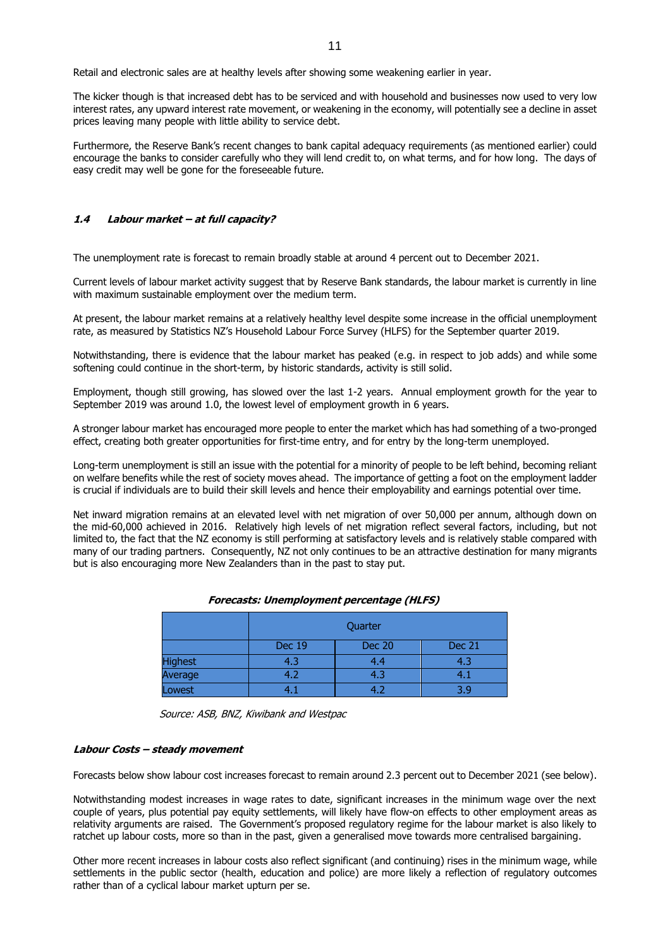Retail and electronic sales are at healthy levels after showing some weakening earlier in year.

The kicker though is that increased debt has to be serviced and with household and businesses now used to very low interest rates, any upward interest rate movement, or weakening in the economy, will potentially see a decline in asset prices leaving many people with little ability to service debt.

Furthermore, the Reserve Bank's recent changes to bank capital adequacy requirements (as mentioned earlier) could encourage the banks to consider carefully who they will lend credit to, on what terms, and for how long. The days of easy credit may well be gone for the foreseeable future.

#### **1.4 Labour market – at full capacity?**

The unemployment rate is forecast to remain broadly stable at around 4 percent out to December 2021.

Current levels of labour market activity suggest that by Reserve Bank standards, the labour market is currently in line with maximum sustainable employment over the medium term.

At present, the labour market remains at a relatively healthy level despite some increase in the official unemployment rate, as measured by Statistics NZ's Household Labour Force Survey (HLFS) for the September quarter 2019.

Notwithstanding, there is evidence that the labour market has peaked (e.g. in respect to job adds) and while some softening could continue in the short-term, by historic standards, activity is still solid.

Employment, though still growing, has slowed over the last 1-2 years. Annual employment growth for the year to September 2019 was around 1.0, the lowest level of employment growth in 6 years.

A stronger labour market has encouraged more people to enter the market which has had something of a two-pronged effect, creating both greater opportunities for first-time entry, and for entry by the long-term unemployed.

Long-term unemployment is still an issue with the potential for a minority of people to be left behind, becoming reliant on welfare benefits while the rest of society moves ahead. The importance of getting a foot on the employment ladder is crucial if individuals are to build their skill levels and hence their employability and earnings potential over time.

Net inward migration remains at an elevated level with net migration of over 50,000 per annum, although down on the mid-60,000 achieved in 2016. Relatively high levels of net migration reflect several factors, including, but not limited to, the fact that the NZ economy is still performing at satisfactory levels and is relatively stable compared with many of our trading partners. Consequently, NZ not only continues to be an attractive destination for many migrants but is also encouraging more New Zealanders than in the past to stay put.

| Forecasts: Unemployment percentage (HLFS) |  |  |
|-------------------------------------------|--|--|
|-------------------------------------------|--|--|

|                | Quarter       |               |        |  |
|----------------|---------------|---------------|--------|--|
|                | <b>Dec 19</b> | <b>Dec 20</b> | Dec 21 |  |
| <b>Highest</b> | 4.3           | 4.4           | 4.3    |  |
| Average        | 4.2           | 4.3           |        |  |
| Lowest         |               |               | 3 a    |  |

Source: ASB, BNZ, Kiwibank and Westpac

#### **Labour Costs – steady movement**

Forecasts below show labour cost increases forecast to remain around 2.3 percent out to December 2021 (see below).

Notwithstanding modest increases in wage rates to date, significant increases in the minimum wage over the next couple of years, plus potential pay equity settlements, will likely have flow-on effects to other employment areas as relativity arguments are raised. The Government's proposed regulatory regime for the labour market is also likely to ratchet up labour costs, more so than in the past, given a generalised move towards more centralised bargaining.

Other more recent increases in labour costs also reflect significant (and continuing) rises in the minimum wage, while settlements in the public sector (health, education and police) are more likely a reflection of regulatory outcomes rather than of a cyclical labour market upturn per se.